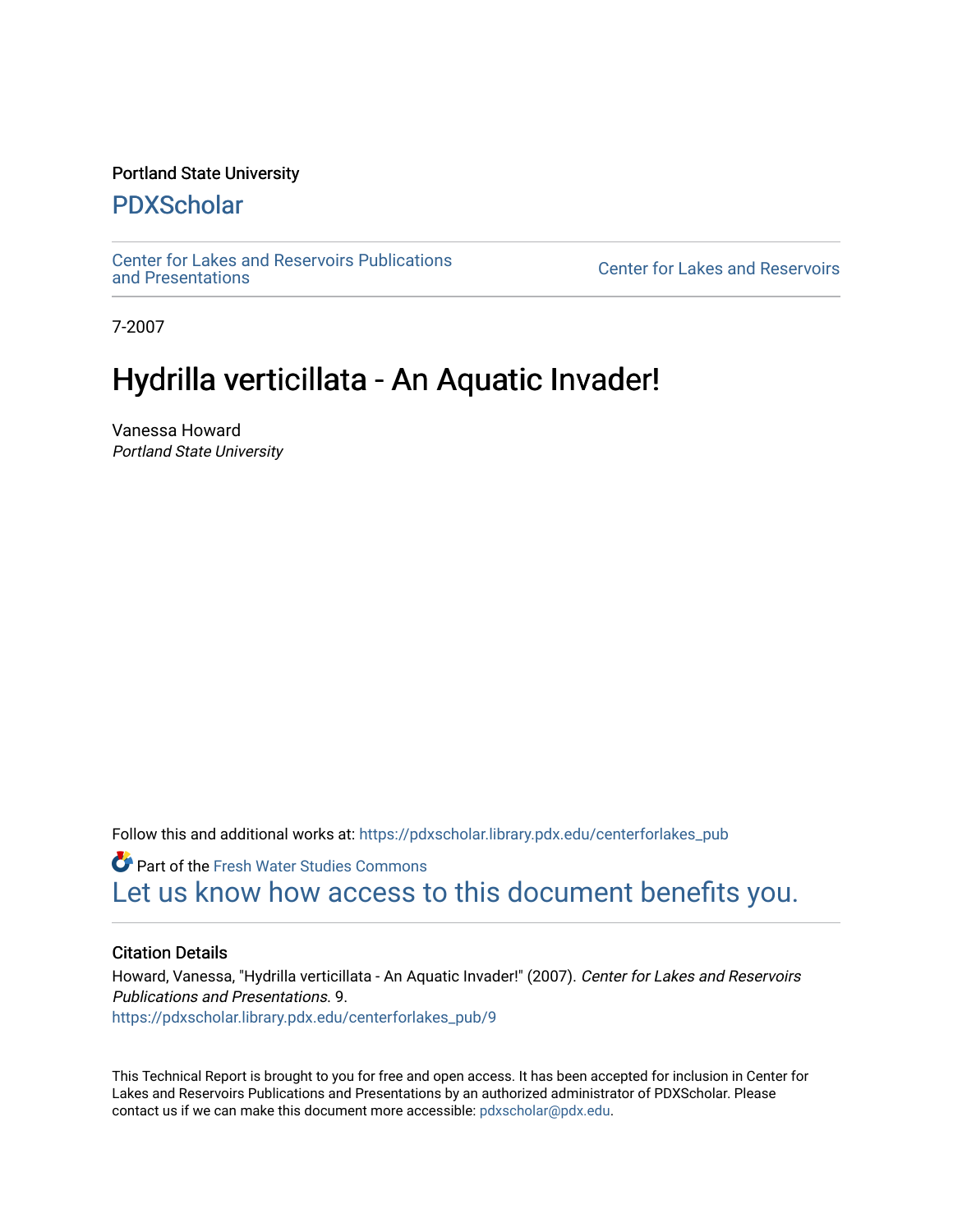#### Portland State University

### [PDXScholar](https://pdxscholar.library.pdx.edu/)

[Center for Lakes and Reservoirs Publications](https://pdxscholar.library.pdx.edu/centerforlakes_pub) 

**Center for Lakes and Reservoirs** 

7-2007

## Hydrilla verticillata - An Aquatic Invader!

Vanessa Howard Portland State University

Follow this and additional works at: [https://pdxscholar.library.pdx.edu/centerforlakes\\_pub](https://pdxscholar.library.pdx.edu/centerforlakes_pub?utm_source=pdxscholar.library.pdx.edu%2Fcenterforlakes_pub%2F9&utm_medium=PDF&utm_campaign=PDFCoverPages)

**Part of the Fresh Water Studies Commons** [Let us know how access to this document benefits you.](http://library.pdx.edu/services/pdxscholar-services/pdxscholar-feedback/?ref=https://pdxscholar.library.pdx.edu/centerforlakes_pub/9) 

#### Citation Details

Howard, Vanessa, "Hydrilla verticillata - An Aquatic Invader!" (2007). Center for Lakes and Reservoirs Publications and Presentations. 9. [https://pdxscholar.library.pdx.edu/centerforlakes\\_pub/9](https://pdxscholar.library.pdx.edu/centerforlakes_pub/9?utm_source=pdxscholar.library.pdx.edu%2Fcenterforlakes_pub%2F9&utm_medium=PDF&utm_campaign=PDFCoverPages)

This Technical Report is brought to you for free and open access. It has been accepted for inclusion in Center for Lakes and Reservoirs Publications and Presentations by an authorized administrator of PDXScholar. Please contact us if we can make this document more accessible: [pdxscholar@pdx.edu](mailto:pdxscholar@pdx.edu).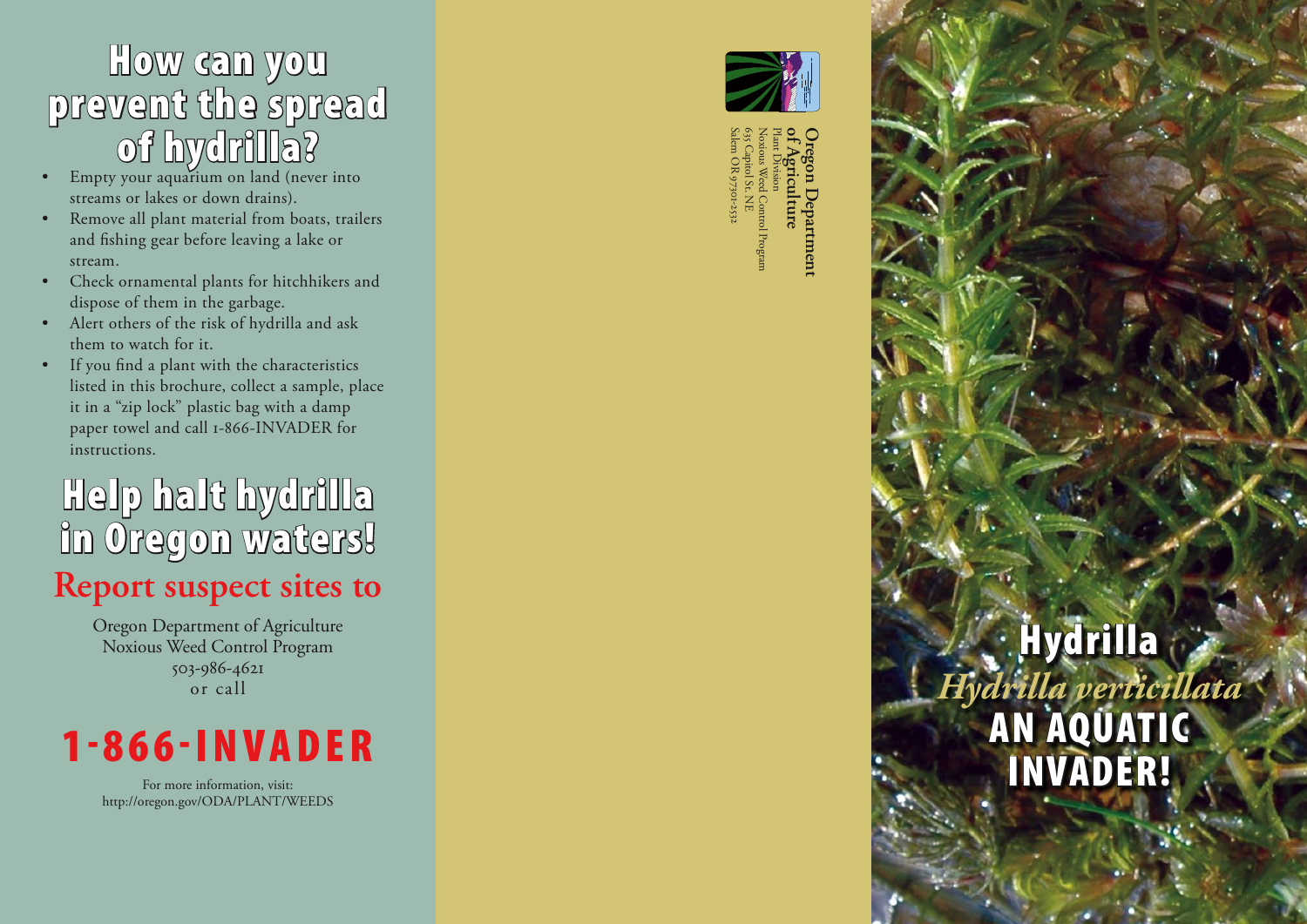# How can you prevent the spread of hydrilla? Empty your aquarium on land (never into

- $\bullet$ streams or lakes or down drains).
- ••••••••••••• Remove all plant material from boats, trailers  $\bullet$ and fishing gear before leaving a lake or stream.
- Check ornamental plants for hitchhikers and  $\bullet$ dispose of them in the garbage.
- Alert others of the risk of hydrilla and ask them to watch for it.
- If you find a plant with the characteristics  $\bullet$ listed in this brochure, collect a sample, place it in a "zip lock" plastic bag with a damp paper towel and call 1-866-INVADER for instructions.

# Help halt hydrilla in Oregon waters!

## **Report suspect sites to**

Oregon Department of Agriculture Noxious Weed Control Program 503-986-462 or call



For more information, visit: http://oregon.gov/ODA/PLANT/WEEDS



Plant Division<br>Noxious Wee 635 Capitol St. NE<br>Salem OR 97301-2532 Depar Noxious Weed Control Program Plant Division **of Agriculture Oregon Department**   $\vdots$ **Jepartment** 

# **Hydrilla** *Hydrilla verticillata* AN AQUATIC INVADER!